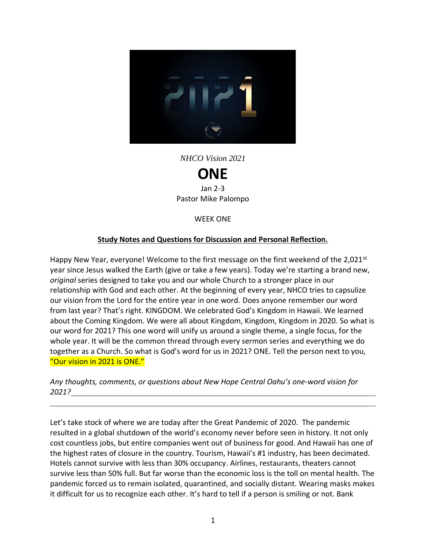

*NHCO Vision 2021*

**ONE** Jan 2-3 Pastor Mike Palompo

WEEK ONE

### **Study Notes and Questions for Discussion and Personal Reflection.**

Happy New Year, everyone! Welcome to the first message on the first weekend of the 2,021st year since Jesus walked the Earth (give or take a few years). Today we're starting a brand new, *original* series designed to take you and our whole Church to a stronger place in our relationship with God and each other. At the beginning of every year, NHCO tries to capsulize our vision from the Lord for the entire year in one word. Does anyone remember our word from last year? That's right. KINGDOM. We celebrated God's Kingdom in Hawaii. We learned about the Coming Kingdom. We were all about Kingdom, Kingdom, Kingdom in 2020. So what is our word for 2021? This one word will unify us around a single theme, a single focus, for the whole year. It will be the common thread through every sermon series and everything we do together as a Church. So what is God's word for us in 2021? ONE. Tell the person next to you, "Our vision in 2021 is ONE."

*Any thoughts, comments, or questions about New Hope Central Oahu's one-word vision for 2021?*

Let's take stock of where we are today after the Great Pandemic of 2020. The pandemic resulted in a global shutdown of the world's economy never before seen in history. It not only cost countless jobs, but entire companies went out of business for good. And Hawaii has one of the highest rates of closure in the country. Tourism, Hawaii's #1 industry, has been decimated. Hotels cannot survive with less than 30% occupancy. Airlines, restaurants, theaters cannot survive less than 50% full. But far worse than the economic loss is the toll on mental health. The pandemic forced us to remain isolated, quarantined, and socially distant. Wearing masks makes it difficult for us to recognize each other. It's hard to tell if a person is smiling or not. Bank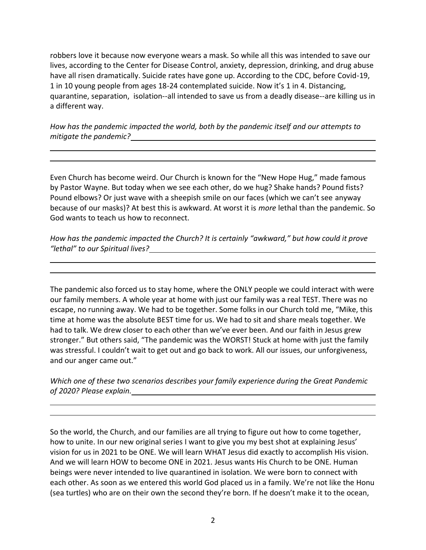robbers love it because now everyone wears a mask. So while all this was intended to save our lives, according to the Center for Disease Control, anxiety, depression, drinking, and drug abuse have all risen dramatically. Suicide rates have gone up. According to the CDC, before Covid-19, 1 in 10 young people from ages 18-24 contemplated suicide. Now it's 1 in 4. Distancing, quarantine, separation, isolation--all intended to save us from a deadly disease--are killing us in a different way.

*How has the pandemic impacted the world, both by the pandemic itself and our attempts to mitigate the pandemic?*

Even Church has become weird. Our Church is known for the "New Hope Hug," made famous by Pastor Wayne. But today when we see each other, do we hug? Shake hands? Pound fists? Pound elbows? Or just wave with a sheepish smile on our faces (which we can't see anyway because of our masks)? At best this is awkward. At worst it is *more* lethal than the pandemic. So God wants to teach us how to reconnect.

*How has the pandemic impacted the Church? It is certainly "awkward," but how could it prove "lethal" to our Spiritual lives?*

The pandemic also forced us to stay home, where the ONLY people we could interact with were our family members. A whole year at home with just our family was a real TEST. There was no escape, no running away. We had to be together. Some folks in our Church told me, "Mike, this time at home was the absolute BEST time for us. We had to sit and share meals together. We had to talk. We drew closer to each other than we've ever been. And our faith in Jesus grew stronger." But others said, "The pandemic was the WORST! Stuck at home with just the family was stressful. I couldn't wait to get out and go back to work. All our issues, our unforgiveness, and our anger came out."

*Which one of these two scenarios describes your family experience during the Great Pandemic of 2020? Please explain.*

So the world, the Church, and our families are all trying to figure out how to come together, how to unite. In our new original series I want to give you my best shot at explaining Jesus' vision for us in 2021 to be ONE. We will learn WHAT Jesus did exactly to accomplish His vision. And we will learn HOW to become ONE in 2021. Jesus wants His Church to be ONE. Human beings were never intended to live quarantined in isolation. We were born to connect with each other. As soon as we entered this world God placed us in a family. We're not like the Honu (sea turtles) who are on their own the second they're born. If he doesn't make it to the ocean,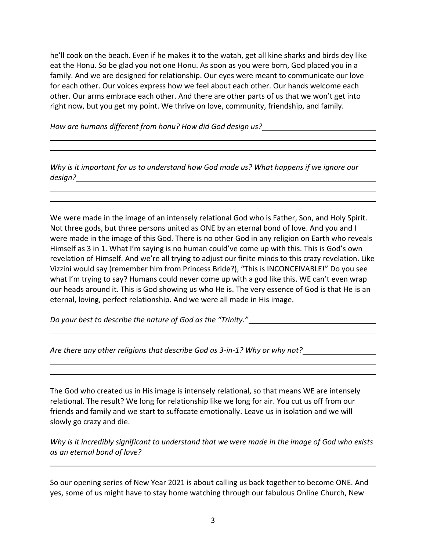he'll cook on the beach. Even if he makes it to the watah, get all kine sharks and birds dey like eat the Honu. So be glad you not one Honu. As soon as you were born, God placed you in a family. And we are designed for relationship. Our eyes were meant to communicate our love for each other. Our voices express how we feel about each other. Our hands welcome each other. Our arms embrace each other. And there are other parts of us that we won't get into right now, but you get my point. We thrive on love, community, friendship, and family.

*How are humans different from honu? How did God design us?*

*Why is it important for us to understand how God made us? What happens if we ignore our design?*

We were made in the image of an intensely relational God who is Father, Son, and Holy Spirit. Not three gods, but three persons united as ONE by an eternal bond of love. And you and I were made in the image of this God. There is no other God in any religion on Earth who reveals Himself as 3 in 1. What I'm saying is no human could've come up with this. This is God's own revelation of Himself. And we're all trying to adjust our finite minds to this crazy revelation. Like Vizzini would say (remember him from Princess Bride?), "This is INCONCEIVABLE!" Do you see what I'm trying to say? Humans could never come up with a god like this. WE can't even wrap our heads around it. This is God showing us who He is. The very essence of God is that He is an eternal, loving, perfect relationship. And we were all made in His image.

*Do your best to describe the nature of God as the "Trinity."*

*Are there any other religions that describe God as 3-in-1? Why or why not?*

The God who created us in His image is intensely relational, so that means WE are intensely relational. The result? We long for relationship like we long for air. You cut us off from our friends and family and we start to suffocate emotionally. Leave us in isolation and we will slowly go crazy and die.

*Why is it incredibly significant to understand that we were made in the image of God who exists as an eternal bond of love?*

So our opening series of New Year 2021 is about calling us back together to become ONE. And yes, some of us might have to stay home watching through our fabulous Online Church, New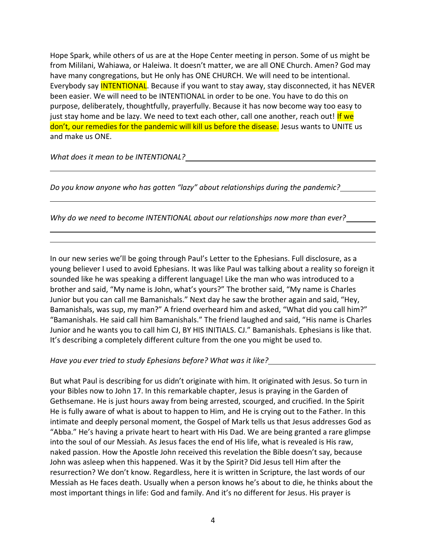Hope Spark, while others of us are at the Hope Center meeting in person. Some of us might be from Mililani, Wahiawa, or Haleiwa. It doesn't matter, we are all ONE Church. Amen? God may have many congregations, but He only has ONE CHURCH. We will need to be intentional. Everybody say INTENTIONAL. Because if you want to stay away, stay disconnected, it has NEVER been easier. We will need to be INTENTIONAL in order to be one. You have to do this on purpose, deliberately, thoughtfully, prayerfully. Because it has now become way too easy to just stay home and be lazy. We need to text each other, call one another, reach out! If we don't, our remedies for the pandemic will kill us before the disease. Jesus wants to UNITE us and make us ONE.

*What does it mean to be INTENTIONAL?*

*Do you know anyone who has gotten "lazy" about relationships during the pandemic?* 

*Why do we need to become INTENTIONAL about our relationships now more than ever?*

In our new series we'll be going through Paul's Letter to the Ephesians. Full disclosure, as a young believer I used to avoid Ephesians. It was like Paul was talking about a reality so foreign it sounded like he was speaking a different language! Like the man who was introduced to a brother and said, "My name is John, what's yours?" The brother said, "My name is Charles Junior but you can call me Bamanishals." Next day he saw the brother again and said, "Hey, Bamanishals, was sup, my man?" A friend overheard him and asked, "What did you call him?" "Bamanishals. He said call him Bamanishals." The friend laughed and said, "His name is Charles Junior and he wants you to call him CJ, BY HIS INITIALS. CJ." Bamanishals. Ephesians is like that. It's describing a completely different culture from the one you might be used to.

*Have you ever tried to study Ephesians before? What was it like?*

But what Paul is describing for us didn't originate with him. It originated with Jesus. So turn in your Bibles now to John 17. In this remarkable chapter, Jesus is praying in the Garden of Gethsemane. He is just hours away from being arrested, scourged, and crucified. In the Spirit He is fully aware of what is about to happen to Him, and He is crying out to the Father. In this intimate and deeply personal moment, the Gospel of Mark tells us that Jesus addresses God as "Abba." He's having a private heart to heart with His Dad. We are being granted a rare glimpse into the soul of our Messiah. As Jesus faces the end of His life, what is revealed is His raw, naked passion. How the Apostle John received this revelation the Bible doesn't say, because John was asleep when this happened. Was it by the Spirit? Did Jesus tell Him after the resurrection? We don't know. Regardless, here it is written in Scripture, the last words of our Messiah as He faces death. Usually when a person knows he's about to die, he thinks about the most important things in life: God and family. And it's no different for Jesus. His prayer is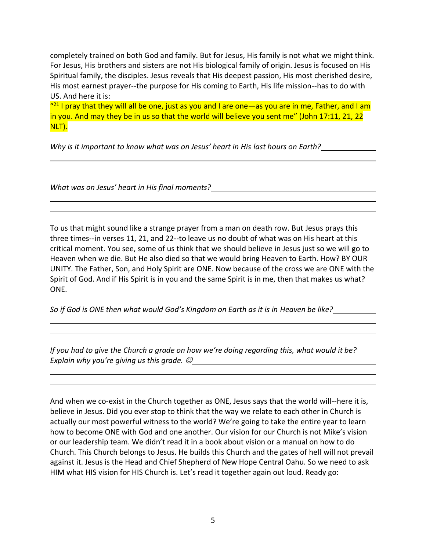completely trained on both God and family. But for Jesus, His family is not what we might think. For Jesus, His brothers and sisters are not His biological family of origin. Jesus is focused on His Spiritual family, the disciples. Jesus reveals that His deepest passion, His most cherished desire, His most earnest prayer--the purpose for His coming to Earth, His life mission--has to do with US. And here it is:

 $"^{21}$  I pray that they will all be one, just as you and I are one—as you are in me, Father, and I am in you. And may they be in us so that the world will believe you sent me" (John 17:11, 21, 22 NLT).

*Why is it important to know what was on Jesus' heart in His last hours on Earth?*

*What was on Jesus' heart in His final moments?*

To us that might sound like a strange prayer from a man on death row. But Jesus prays this three times--in verses 11, 21, and 22--to leave us no doubt of what was on His heart at this critical moment. You see, some of us think that we should believe in Jesus just so we will go to Heaven when we die. But He also died so that we would bring Heaven to Earth. How? BY OUR UNITY. The Father, Son, and Holy Spirit are ONE. Now because of the cross we are ONE with the Spirit of God. And if His Spirit is in you and the same Spirit is in me, then that makes us what? ONE.

*So if God is ONE then what would God's Kingdom on Earth as it is in Heaven be like?*

*If you had to give the Church a grade on how we're doing regarding this, what would it be? Explain why you're giving us this grade.*  $\mathcal{O}_\text{max}$  **Explain with the state of the state of the state of the state of the state of the state of the state of the state of the state of the state of the state of the stat** 

And when we co-exist in the Church together as ONE, Jesus says that the world will--here it is, believe in Jesus. Did you ever stop to think that the way we relate to each other in Church is actually our most powerful witness to the world? We're going to take the entire year to learn how to become ONE with God and one another. Our vision for our Church is not Mike's vision or our leadership team. We didn't read it in a book about vision or a manual on how to do Church. This Church belongs to Jesus. He builds this Church and the gates of hell will not prevail against it. Jesus is the Head and Chief Shepherd of New Hope Central Oahu. So we need to ask HIM what HIS vision for HIS Church is. Let's read it together again out loud. Ready go: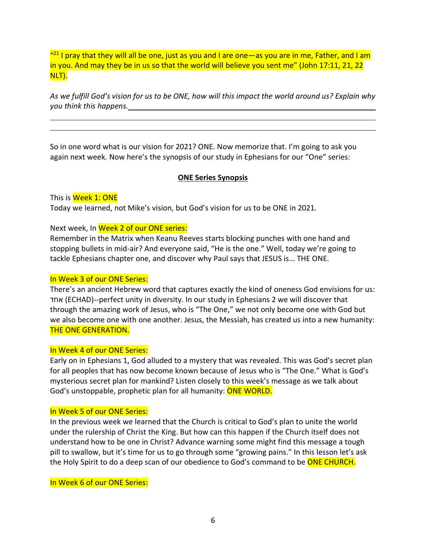$"^{21}$  I pray that they will all be one, just as you and I are one—as you are in me, Father, and I am in you. And may they be in us so that the world will believe you sent me" (John 17:11, 21, 22 NLT).

*As we fulfill God's vision for us to be ONE, how will this impact the world around us? Explain why you think this happens.*

So in one word what is our vision for 2021? ONE. Now memorize that. I'm going to ask you again next week. Now here's the synopsis of our study in Ephesians for our "One" series:

### **ONE Series Synopsis**

This is Week 1: ONE

Today we learned, not Mike's vision, but God's vision for us to be ONE in 2021.

Next week, In Week 2 of our ONE series:

Remember in the Matrix when Keanu Reeves starts blocking punches with one hand and stopping bullets in mid-air? And everyone said, "He is the one." Well, today we're going to tackle Ephesians chapter one, and discover why Paul says that JESUS is… THE ONE.

### In Week 3 of our ONE Series:

There's an ancient Hebrew word that captures exactly the kind of oneness God envisions for us: אחד) ECHAD)--perfect unity in diversity. In our study in Ephesians 2 we will discover that through the amazing work of Jesus, who is "The One," we not only become one with God but we also become one with one another. Jesus, the Messiah, has created us into a new humanity: THE ONE GENERATION.

### In Week 4 of our ONE Series:

Early on in Ephesians 1, God alluded to a mystery that was revealed. This was God's secret plan for all peoples that has now become known because of Jesus who is "The One." What is God's mysterious secret plan for mankind? Listen closely to this week's message as we talk about God's unstoppable, prophetic plan for all humanity: ONE WORLD.

#### In Week 5 of our ONE Series:

In the previous week we learned that the Church is critical to God's plan to unite the world under the rulership of Christ the King. But how can this happen if the Church itself does not understand how to be one in Christ? Advance warning some might find this message a tough pill to swallow, but it's time for us to go through some "growing pains." In this lesson let's ask the Holy Spirit to do a deep scan of our obedience to God's command to be ONE CHURCH.

In Week 6 of our ONE Series: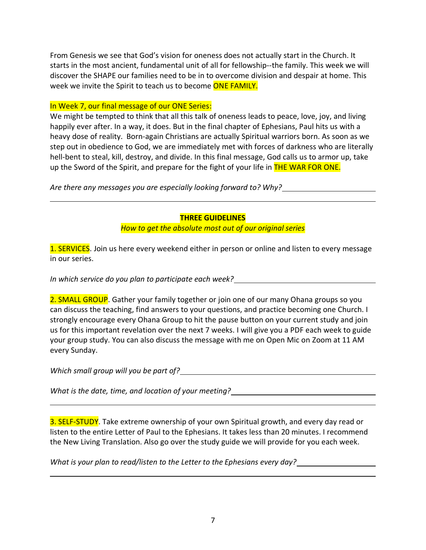From Genesis we see that God's vision for oneness does not actually start in the Church. It starts in the most ancient, fundamental unit of all for fellowship--the family. This week we will discover the SHAPE our families need to be in to overcome division and despair at home. This week we invite the Spirit to teach us to become ONE FAMILY.

### In Week 7, our final message of our ONE Series:

We might be tempted to think that all this talk of oneness leads to peace, love, joy, and living happily ever after. In a way, it does. But in the final chapter of Ephesians, Paul hits us with a heavy dose of reality. Born-again Christians are actually Spiritual warriors born. As soon as we step out in obedience to God, we are immediately met with forces of darkness who are literally hell-bent to steal, kill, destroy, and divide. In this final message, God calls us to armor up, take up the Sword of the Spirit, and prepare for the fight of your life in **THE WAR FOR ONE.** 

*Are there any messages you are especially looking forward to? Why?*

### **THREE GUIDELINES**

*How to get the absolute most out of our original series*

1. SERVICES. Join us here every weekend either in person or online and listen to every message in our series.

*In which service do you plan to participate each week?*

2. SMALL GROUP. Gather your family together or join one of our many Ohana groups so you can discuss the teaching, find answers to your questions, and practice becoming one Church. I strongly encourage every Ohana Group to hit the pause button on your current study and join us for this important revelation over the next 7 weeks. I will give you a PDF each week to guide your group study. You can also discuss the message with me on Open Mic on Zoom at 11 AM every Sunday.

*Which small group will you be part of?*

*What is the date, time, and location of your meeting?*

3. SELF-STUDY. Take extreme ownership of your own Spiritual growth, and every day read or listen to the entire Letter of Paul to the Ephesians. It takes less than 20 minutes. I recommend the New Living Translation. Also go over the study guide we will provide for you each week.

*What is your plan to read/listen to the Letter to the Ephesians every day?*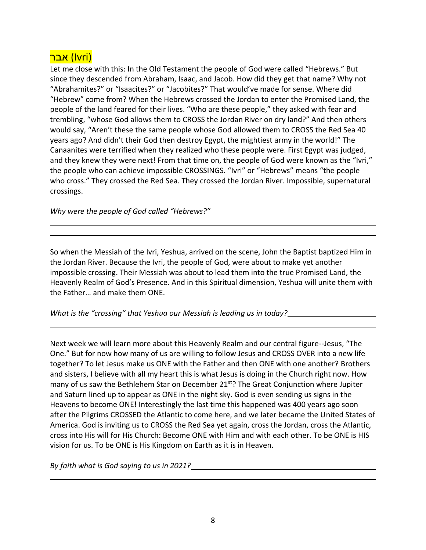## <mark>(Ivri) אבר</mark>

Let me close with this: In the Old Testament the people of God were called "Hebrews." But since they descended from Abraham, Isaac, and Jacob. How did they get that name? Why not "Abrahamites?" or "Isaacites?" or "Jacobites?" That would've made for sense. Where did "Hebrew" come from? When the Hebrews crossed the Jordan to enter the Promised Land, the people of the land feared for their lives. "Who are these people," they asked with fear and trembling, "whose God allows them to CROSS the Jordan River on dry land?" And then others would say, "Aren't these the same people whose God allowed them to CROSS the Red Sea 40 years ago? And didn't their God then destroy Egypt, the mightiest army in the world!" The Canaanites were terrified when they realized who these people were. First Egypt was judged, and they knew they were next! From that time on, the people of God were known as the "Ivri," the people who can achieve impossible CROSSINGS. "Ivri" or "Hebrews" means "the people who cross." They crossed the Red Sea. They crossed the Jordan River. Impossible, supernatural crossings.

*Why were the people of God called "Hebrews?"*

So when the Messiah of the Ivri, Yeshua, arrived on the scene, John the Baptist baptized Him in the Jordan River. Because the Ivri, the people of God, were about to make yet another impossible crossing. Their Messiah was about to lead them into the true Promised Land, the Heavenly Realm of God's Presence. And in this Spiritual dimension, Yeshua will unite them with the Father… and make them ONE.

*What is the "crossing" that Yeshua our Messiah is leading us in today?*

Next week we will learn more about this Heavenly Realm and our central figure--Jesus, "The One." But for now how many of us are willing to follow Jesus and CROSS OVER into a new life together? To let Jesus make us ONE with the Father and then ONE with one another? Brothers and sisters, I believe with all my heart this is what Jesus is doing in the Church right now. How many of us saw the Bethlehem Star on December 21<sup>st</sup>? The Great Conjunction where Jupiter and Saturn lined up to appear as ONE in the night sky. God is even sending us signs in the Heavens to become ONE! Interestingly the last time this happened was 400 years ago soon after the Pilgrims CROSSED the Atlantic to come here, and we later became the United States of America. God is inviting us to CROSS the Red Sea yet again, cross the Jordan, cross the Atlantic, cross into His will for His Church: Become ONE with Him and with each other. To be ONE is HIS vision for us. To be ONE is His Kingdom on Earth as it is in Heaven.

*By faith what is God saying to us in 2021?*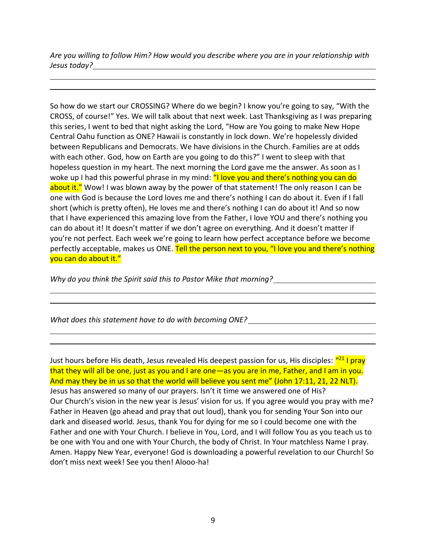*Are you willing to follow Him? How would you describe where you are in your relationship with Jesus today?*

So how do we start our CROSSING? Where do we begin? I know you're going to say, "With the CROSS, of course!" Yes. We will talk about that next week. Last Thanksgiving as I was preparing this series, I went to bed that night asking the Lord, "How are You going to make New Hope Central Oahu function as ONE? Hawaii is constantly in lock down. We're hopelessly divided between Republicans and Democrats. We have divisions in the Church. Families are at odds with each other. God, how on Earth are you going to do this?" I went to sleep with that hopeless question in my heart. The next morning the Lord gave me the answer. As soon as I woke up I had this powerful phrase in my mind: "I love you and there's nothing you can do about it." Wow! I was blown away by the power of that statement! The only reason I can be one with God is because the Lord loves me and there's nothing I can do about it. Even if I fall short (which is pretty often), He loves me and there's nothing I can do about it! And so now that I have experienced this amazing love from the Father, I love YOU and there's nothing you can do about it! It doesn't matter if we don't agree on everything. And it doesn't matter if you're not perfect. Each week we're going to learn how perfect acceptance before we become perfectly acceptable, makes us ONE. Tell the person next to you, "I love you and there's nothing you can do about it."

*Why do you think the Spirit said this to Pastor Mike that morning?*

*What does this statement have to do with becoming ONE?*

Just hours before His death, Jesus revealed His deepest passion for us, His disciples: <mark>"<sup>21</sup> I pray</mark> that they will all be one, just as you and I are one—as you are in me, Father, and I am in you. And may they be in us so that the world will believe you sent me" (John 17:11, 21, 22 NLT). Jesus has answered so many of our prayers. Isn't it time we answered one of His? Our Church's vision in the new year is Jesus' vision for us. If you agree would you pray with me? Father in Heaven (go ahead and pray that out loud), thank you for sending Your Son into our dark and diseased world. Jesus, thank You for dying for me so I could become one with the Father and one with Your Church. I believe in You, Lord, and I will follow You as you teach us to be one with You and one with Your Church, the body of Christ. In Your matchless Name I pray. Amen. Happy New Year, everyone! God is downloading a powerful revelation to our Church! So don't miss next week! See you then! Alooo-ha!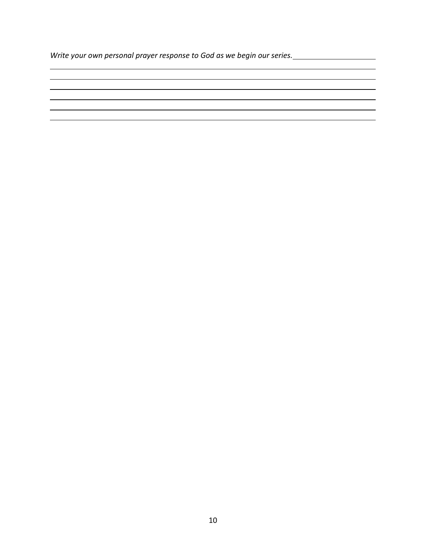*Write your own personal prayer response to God as we begin our series.*

<u> 1989 - Johann Stoff, amerikansk politiker (d. 1989)</u>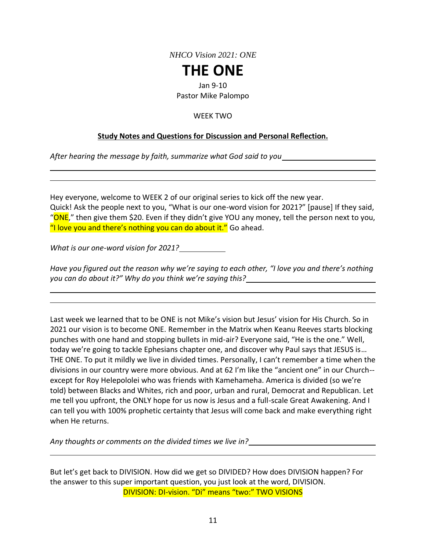*NHCO Vision 2021: ONE*

# **THE ONE**

Jan 9-10

Pastor Mike Palompo

### WEEK TWO

### **Study Notes and Questions for Discussion and Personal Reflection.**

*After hearing the message by faith, summarize what God said to you*

Hey everyone, welcome to WEEK 2 of our original series to kick off the new year. Quick! Ask the people next to you, "What is our one-word vision for 2021?" [pause] If they said, " $ONE$ ," then give them \$20. Even if they didn't give YOU any money, tell the person next to you, "I love you and there's nothing you can do about it." Go ahead.

*What is our one-word vision for 2021?*

*Have you figured out the reason why we're saying to each other, "I love you and there's nothing you can do about it?" Why do you think we're saying this?*

Last week we learned that to be ONE is not Mike's vision but Jesus' vision for His Church. So in 2021 our vision is to become ONE. Remember in the Matrix when Keanu Reeves starts blocking punches with one hand and stopping bullets in mid-air? Everyone said, "He is the one." Well, today we're going to tackle Ephesians chapter one, and discover why Paul says that JESUS is… THE ONE. To put it mildly we live in divided times. Personally, I can't remember a time when the divisions in our country were more obvious. And at 62 I'm like the "ancient one" in our Church- except for Roy Helepololei who was friends with Kamehameha. America is divided (so we're told) between Blacks and Whites, rich and poor, urban and rural, Democrat and Republican. Let me tell you upfront, the ONLY hope for us now is Jesus and a full-scale Great Awakening. And I can tell you with 100% prophetic certainty that Jesus will come back and make everything right when He returns.

*Any thoughts or comments on the divided times we live in?*

But let's get back to DIVISION. How did we get so DIVIDED? How does DIVISION happen? For the answer to this super important question, you just look at the word, DIVISION. DIVISION: DI-vision. "Di" means "two:" TWO VISIONS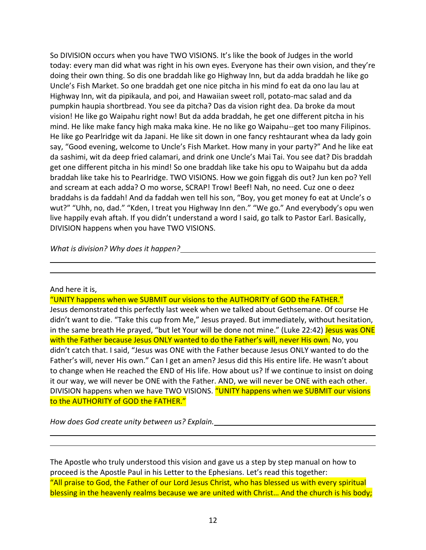So DIVISION occurs when you have TWO VISIONS. It's like the book of Judges in the world today: every man did what was right in his own eyes. Everyone has their own vision, and they're doing their own thing. So dis one braddah like go Highway Inn, but da adda braddah he like go Uncle's Fish Market. So one braddah get one nice pitcha in his mind fo eat da ono lau lau at Highway Inn, wit da pipikaula, and poi, and Hawaiian sweet roll, potato-mac salad and da pumpkin haupia shortbread. You see da pitcha? Das da vision right dea. Da broke da mout vision! He like go Waipahu right now! But da adda braddah, he get one different pitcha in his mind. He like make fancy high maka maka kine. He no like go Waipahu--get too many Filipinos. He like go Pearlridge wit da Japani. He like sit down in one fancy reshtaurant whea da lady goin say, "Good evening, welcome to Uncle's Fish Market. How many in your party?" And he like eat da sashimi, wit da deep fried calamari, and drink one Uncle's Mai Tai. You see dat? Dis braddah get one different pitcha in his mind! So one braddah like take his opu to Waipahu but da adda braddah like take his to Pearlridge. TWO VISIONS. How we goin figgah dis out? Jun ken po? Yell and scream at each adda? O mo worse, SCRAP! Trow! Beef! Nah, no need. Cuz one o deez braddahs is da faddah! And da faddah wen tell his son, "Boy, you get money fo eat at Uncle's o wut?" "Uhh, no, dad." "Kden, I treat you Highway Inn den." "We go." And everybody's opu wen live happily evah aftah. If you didn't understand a word I said, go talk to Pastor Earl. Basically, DIVISION happens when you have TWO VISIONS.

*What is division? Why does it happen?*

### And here it is,

"UNITY happens when we SUBMIT our visions to the AUTHORITY of GOD the FATHER."

Jesus demonstrated this perfectly last week when we talked about Gethsemane. Of course He didn't want to die. "Take this cup from Me," Jesus prayed. But immediately, without hesitation, in the same breath He prayed, "but let Your will be done not mine." (Luke 22:42) Jesus was ONE with the Father because Jesus ONLY wanted to do the Father's will, never His own. No, you didn't catch that. I said, "Jesus was ONE with the Father because Jesus ONLY wanted to do the Father's will, never His own." Can I get an amen? Jesus did this His entire life. He wasn't about to change when He reached the END of His life. How about us? If we continue to insist on doing it our way, we will never be ONE with the Father. AND, we will never be ONE with each other. DIVISION happens when we have TWO VISIONS. "UNITY happens when we SUBMIT our visions to the AUTHORITY of GOD the FATHER."

*How does God create unity between us? Explain.*

The Apostle who truly understood this vision and gave us a step by step manual on how to proceed is the Apostle Paul in his Letter to the Ephesians. Let's read this together: "All praise to God, the Father of our Lord Jesus Christ, who has blessed us with every spiritual blessing in the heavenly realms because we are united with Christ... And the church is his body;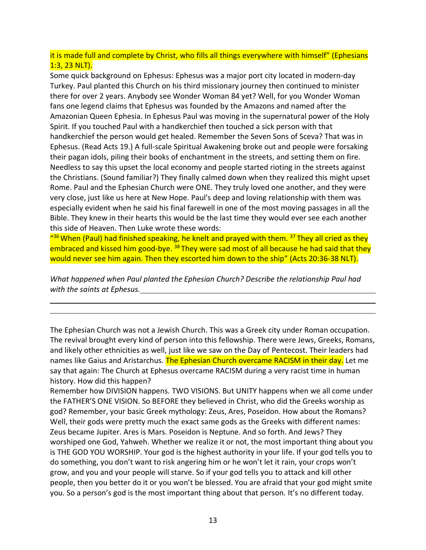### it is made full and complete by Christ, who fills all things everywhere with himself" (Ephesians 1:3, 23 NLT).

Some quick background on Ephesus: Ephesus was a major port city located in modern-day Turkey. Paul planted this Church on his third missionary journey then continued to minister there for over 2 years. Anybody see Wonder Woman 84 yet? Well, for you Wonder Woman fans one legend claims that Ephesus was founded by the Amazons and named after the Amazonian Queen Ephesia. In Ephesus Paul was moving in the supernatural power of the Holy Spirit. If you touched Paul with a handkerchief then touched a sick person with that handkerchief the person would get healed. Remember the Seven Sons of Sceva? That was in Ephesus. (Read Acts 19.) A full-scale Spiritual Awakening broke out and people were forsaking their pagan idols, piling their books of enchantment in the streets, and setting them on fire. Needless to say this upset the local economy and people started rioting in the streets against the Christians. (Sound familiar?) They finally calmed down when they realized this might upset Rome. Paul and the Ephesian Church were ONE. They truly loved one another, and they were very close, just like us here at New Hope. Paul's deep and loving relationship with them was especially evident when he said his final farewell in one of the most moving passages in all the Bible. They knew in their hearts this would be the last time they would ever see each another this side of Heaven. Then Luke wrote these words:

"<sup>36</sup> When (Paul) had finished speaking, he knelt and prayed with them. <sup>37</sup> They all cried as they embraced and kissed him good-bye. <sup>38</sup> They were sad most of all because he had said that they would never see him again. Then they escorted him down to the ship" (Acts 20:36-38 NLT).

*What happened when Paul planted the Ephesian Church? Describe the relationship Paul had with the saints at Ephesus.*

The Ephesian Church was not a Jewish Church. This was a Greek city under Roman occupation. The revival brought every kind of person into this fellowship. There were Jews, Greeks, Romans, and likely other ethnicities as well, just like we saw on the Day of Pentecost. Their leaders had names like Gaius and Aristarchus. The Ephesian Church overcame RACISM in their day. Let me say that again: The Church at Ephesus overcame RACISM during a very racist time in human history. How did this happen?

Remember how DIVISION happens. TWO VISIONS. But UNITY happens when we all come under the FATHER'S ONE VISION. So BEFORE they believed in Christ, who did the Greeks worship as god? Remember, your basic Greek mythology: Zeus, Ares, Poseidon. How about the Romans? Well, their gods were pretty much the exact same gods as the Greeks with different names: Zeus became Jupiter. Ares is Mars. Poseidon is Neptune. And so forth. And Jews? They worshiped one God, Yahweh. Whether we realize it or not, the most important thing about you is THE GOD YOU WORSHIP. Your god is the highest authority in your life. If your god tells you to do something, you don't want to risk angering him or he won't let it rain, your crops won't grow, and you and your people will starve. So if your god tells you to attack and kill other people, then you better do it or you won't be blessed. You are afraid that your god might smite you. So a person's god is the most important thing about that person. It's no different today.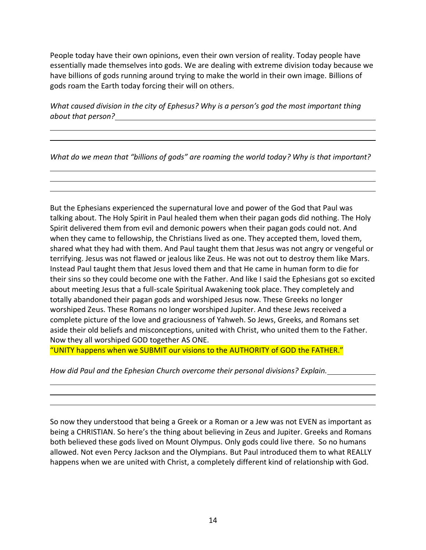People today have their own opinions, even their own version of reality. Today people have essentially made themselves into gods. We are dealing with extreme division today because we have billions of gods running around trying to make the world in their own image. Billions of gods roam the Earth today forcing their will on others.

*What caused division in the city of Ephesus? Why is a person's god the most important thing about that person?*

*What do we mean that "billions of gods" are roaming the world today? Why is that important?*

But the Ephesians experienced the supernatural love and power of the God that Paul was talking about. The Holy Spirit in Paul healed them when their pagan gods did nothing. The Holy Spirit delivered them from evil and demonic powers when their pagan gods could not. And when they came to fellowship, the Christians lived as one. They accepted them, loved them, shared what they had with them. And Paul taught them that Jesus was not angry or vengeful or terrifying. Jesus was not flawed or jealous like Zeus. He was not out to destroy them like Mars. Instead Paul taught them that Jesus loved them and that He came in human form to die for their sins so they could become one with the Father. And like I said the Ephesians got so excited about meeting Jesus that a full-scale Spiritual Awakening took place. They completely and totally abandoned their pagan gods and worshiped Jesus now. These Greeks no longer worshiped Zeus. These Romans no longer worshiped Jupiter. And these Jews received a complete picture of the love and graciousness of Yahweh. So Jews, Greeks, and Romans set aside their old beliefs and misconceptions, united with Christ, who united them to the Father. Now they all worshiped GOD together AS ONE.

"UNITY happens when we SUBMIT our visions to the AUTHORITY of GOD the FATHER."

*How did Paul and the Ephesian Church overcome their personal divisions? Explain.*

So now they understood that being a Greek or a Roman or a Jew was not EVEN as important as being a CHRISTIAN. So here's the thing about believing in Zeus and Jupiter. Greeks and Romans both believed these gods lived on Mount Olympus. Only gods could live there. So no humans allowed. Not even Percy Jackson and the Olympians. But Paul introduced them to what REALLY happens when we are united with Christ, a completely different kind of relationship with God.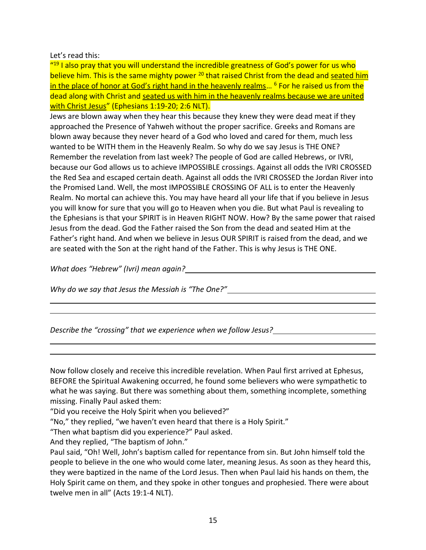### Let's read this:

"<sup>19</sup> I also pray that you will understand the incredible greatness of God's power for us who believe him. This is the same mighty power <sup>20</sup> that raised Christ from the dead and seated him in the place of honor at God's right hand in the heavenly realms... <sup>6</sup> For he raised us from the dead along with Christ and seated us with him in the heavenly realms because we are united with Christ Jesus" (Ephesians 1:19-20; 2:6 NLT).

Jews are blown away when they hear this because they knew they were dead meat if they approached the Presence of Yahweh without the proper sacrifice. Greeks and Romans are blown away because they never heard of a God who loved and cared for them, much less wanted to be WITH them in the Heavenly Realm. So why do we say Jesus is THE ONE? Remember the revelation from last week? The people of God are called Hebrews, or IVRI, because our God allows us to achieve IMPOSSIBLE crossings. Against all odds the IVRI CROSSED the Red Sea and escaped certain death. Against all odds the IVRI CROSSED the Jordan River into the Promised Land. Well, the most IMPOSSIBLE CROSSING OF ALL is to enter the Heavenly Realm. No mortal can achieve this. You may have heard all your life that if you believe in Jesus you will know for sure that you will go to Heaven when you die. But what Paul is revealing to the Ephesians is that your SPIRIT is in Heaven RIGHT NOW. How? By the same power that raised Jesus from the dead. God the Father raised the Son from the dead and seated Him at the Father's right hand. And when we believe in Jesus OUR SPIRIT is raised from the dead, and we are seated with the Son at the right hand of the Father. This is why Jesus is THE ONE.

*What does "Hebrew" (Ivri) mean again?*

*Why do we say that Jesus the Messiah is "The One?"*

*Describe the "crossing" that we experience when we follow Jesus?*

Now follow closely and receive this incredible revelation. When Paul first arrived at Ephesus, BEFORE the Spiritual Awakening occurred, he found some believers who were sympathetic to what he was saying. But there was something about them, something incomplete, something missing. Finally Paul asked them:

"Did you receive the Holy Spirit when you believed?"

"No," they replied, "we haven't even heard that there is a Holy Spirit."

"Then what baptism did you experience?" Paul asked.

And they replied, "The baptism of John."

Paul said, "Oh! Well, John's baptism called for repentance from sin. But John himself told the people to believe in the one who would come later, meaning Jesus. As soon as they heard this, they were baptized in the name of the Lord Jesus. Then when Paul laid his hands on them, the Holy Spirit came on them, and they spoke in other tongues and prophesied. There were about twelve men in all" (Acts 19:1-4 NLT).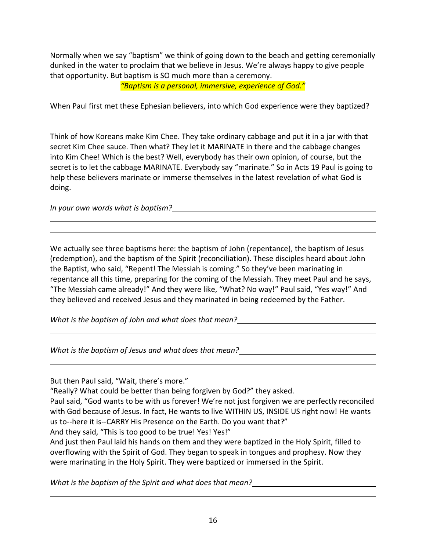Normally when we say "baptism" we think of going down to the beach and getting ceremonially dunked in the water to proclaim that we believe in Jesus. We're always happy to give people that opportunity. But baptism is SO much more than a ceremony.

*"Baptism is a personal, immersive, experience of God."*

When Paul first met these Ephesian believers, into which God experience were they baptized?

Think of how Koreans make Kim Chee. They take ordinary cabbage and put it in a jar with that secret Kim Chee sauce. Then what? They let it MARINATE in there and the cabbage changes into Kim Chee! Which is the best? Well, everybody has their own opinion, of course, but the secret is to let the cabbage MARINATE. Everybody say "marinate." So in Acts 19 Paul is going to help these believers marinate or immerse themselves in the latest revelation of what God is doing.

*In your own words what is baptism?*

We actually see three baptisms here: the baptism of John (repentance), the baptism of Jesus (redemption), and the baptism of the Spirit (reconciliation). These disciples heard about John the Baptist, who said, "Repent! The Messiah is coming." So they've been marinating in repentance all this time, preparing for the coming of the Messiah. They meet Paul and he says, "The Messiah came already!" And they were like, "What? No way!" Paul said, "Yes way!" And they believed and received Jesus and they marinated in being redeemed by the Father.

*What is the baptism of John and what does that mean?*

*What is the baptism of Jesus and what does that mean?*

But then Paul said, "Wait, there's more."

"Really? What could be better than being forgiven by God?" they asked.

Paul said, "God wants to be with us forever! We're not just forgiven we are perfectly reconciled with God because of Jesus. In fact, He wants to live WITHIN US, INSIDE US right now! He wants us to--here it is--CARRY His Presence on the Earth. Do you want that?"

And they said, "This is too good to be true! Yes! Yes!"

And just then Paul laid his hands on them and they were baptized in the Holy Spirit, filled to overflowing with the Spirit of God. They began to speak in tongues and prophesy. Now they were marinating in the Holy Spirit. They were baptized or immersed in the Spirit.

*What is the baptism of the Spirit and what does that mean?*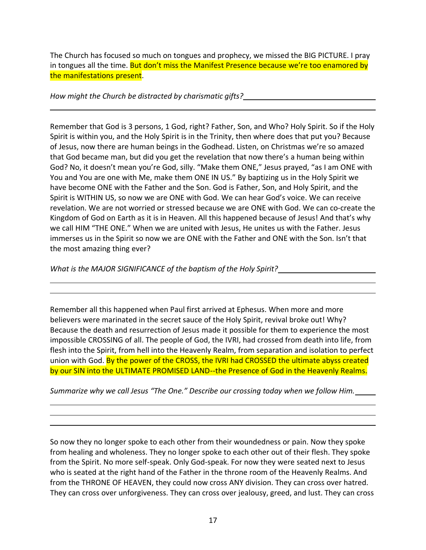The Church has focused so much on tongues and prophecy, we missed the BIG PICTURE. I pray in tongues all the time. But don't miss the Manifest Presence because we're too enamored by the manifestations present.

*How might the Church be distracted by charismatic gifts?*

Remember that God is 3 persons, 1 God, right? Father, Son, and Who? Holy Spirit. So if the Holy Spirit is within you, and the Holy Spirit is in the Trinity, then where does that put you? Because of Jesus, now there are human beings in the Godhead. Listen, on Christmas we're so amazed that God became man, but did you get the revelation that now there's a human being within God? No, it doesn't mean you're God, silly. "Make them ONE," Jesus prayed, "as I am ONE with You and You are one with Me, make them ONE IN US." By baptizing us in the Holy Spirit we have become ONE with the Father and the Son. God is Father, Son, and Holy Spirit, and the Spirit is WITHIN US, so now we are ONE with God. We can hear God's voice. We can receive revelation. We are not worried or stressed because we are ONE with God. We can co-create the Kingdom of God on Earth as it is in Heaven. All this happened because of Jesus! And that's why we call HIM "THE ONE." When we are united with Jesus, He unites us with the Father. Jesus immerses us in the Spirit so now we are ONE with the Father and ONE with the Son. Isn't that the most amazing thing ever?

*What is the MAJOR SIGNIFICANCE of the baptism of the Holy Spirit?*

Remember all this happened when Paul first arrived at Ephesus. When more and more believers were marinated in the secret sauce of the Holy Spirit, revival broke out! Why? Because the death and resurrection of Jesus made it possible for them to experience the most impossible CROSSING of all. The people of God, the IVRI, had crossed from death into life, from flesh into the Spirit, from hell into the Heavenly Realm, from separation and isolation to perfect union with God. By the power of the CROSS, the IVRI had CROSSED the ultimate abyss created by our SIN into the ULTIMATE PROMISED LAND--the Presence of God in the Heavenly Realms.

*Summarize why we call Jesus "The One." Describe our crossing today when we follow Him.*

So now they no longer spoke to each other from their woundedness or pain. Now they spoke from healing and wholeness. They no longer spoke to each other out of their flesh. They spoke from the Spirit. No more self-speak. Only God-speak. For now they were seated next to Jesus who is seated at the right hand of the Father in the throne room of the Heavenly Realms. And from the THRONE OF HEAVEN, they could now cross ANY division. They can cross over hatred. They can cross over unforgiveness. They can cross over jealousy, greed, and lust. They can cross